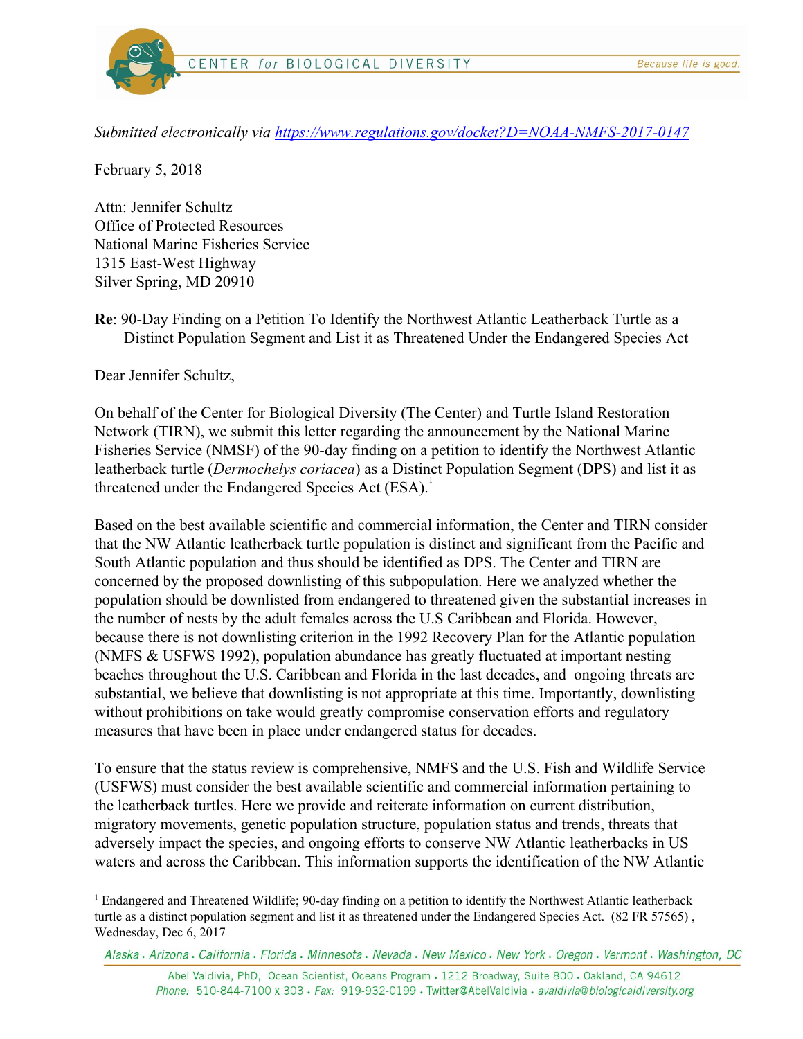

CENTER for BIOLOGICAL DIVERSITY

*Submitted electronically via <https://www.regulations.gov/docket?D=NOAA-NMFS-2017-0147>*

February 5, 2018

Attn: Jennifer Schultz Office of Protected Resources National Marine Fisheries Service 1315 East-West Highway Silver Spring, MD 20910

**Re**: 90-Day Finding on a Petition To Identify the Northwest Atlantic Leatherback Turtle as a Distinct Population Segment and List it as Threatened Under the Endangered Species Act

Dear Jennifer Schultz,

On behalf of the Center for Biological Diversity (The Center) and Turtle Island Restoration Network (TIRN), we submit this letter regarding the announcement by the National Marine Fisheries Service (NMSF) of the 90-day finding on a petition to identify the Northwest Atlantic leatherback turtle (*Dermochelys coriacea*) as a Distinct Population Segment (DPS) and list it as threatened under the Endangered Species Act (ESA).<sup>1</sup>

Based on the best available scientific and commercial information, the Center and TIRN consider that the NW Atlantic leatherback turtle population is distinct and significant from the Pacific and South Atlantic population and thus should be identified as DPS. The Center and TIRN are concerned by the proposed downlisting of this subpopulation. Here we analyzed whether the population should be downlisted from endangered to threatened given the substantial increases in the number of nests by the adult females across the U.S Caribbean and Florida. However, because there is not downlisting criterion in the 1992 Recovery Plan for the Atlantic population (NMFS & USFWS 1992), population abundance has greatly fluctuated at important nesting beaches throughout the U.S. Caribbean and Florida in the last decades, and ongoing threats are substantial, we believe that downlisting is not appropriate at this time. Importantly, downlisting without prohibitions on take would greatly compromise conservation efforts and regulatory measures that have been in place under endangered status for decades.

To ensure that the status review is comprehensive, NMFS and the U.S. Fish and Wildlife Service (USFWS) must consider the best available scientific and commercial information pertaining to the leatherback turtles. Here we provide and reiterate information on current distribution, migratory movements, genetic population structure, population status and trends, threats that adversely impact the species, and ongoing efforts to conserve NW Atlantic leatherbacks in US waters and across the Caribbean. This information supports the identification of the NW Atlantic

Abel Valdivia, PhD, Ocean Scientist, Oceans Program - 1212 Broadway, Suite 800 - Oakland, CA 94612 Phone: 510-844-7100 x 303 · Fax: 919-932-0199 · Twitter@AbelValdivia · avaldivia@biologicaldiversity.org

<sup>1</sup> Endangered and Threatened Wildlife; 90-day finding on a petition to identify the Northwest Atlantic leatherback turtle as a distinct population segment and list it as threatened under the Endangered Species Act. (82 FR 57565) , Wednesday, Dec 6, 2017

Alaska • Arizona • California • Florida • Minnesota • Nevada • New Mexico • New York • Oregon • Vermont • Washington, DC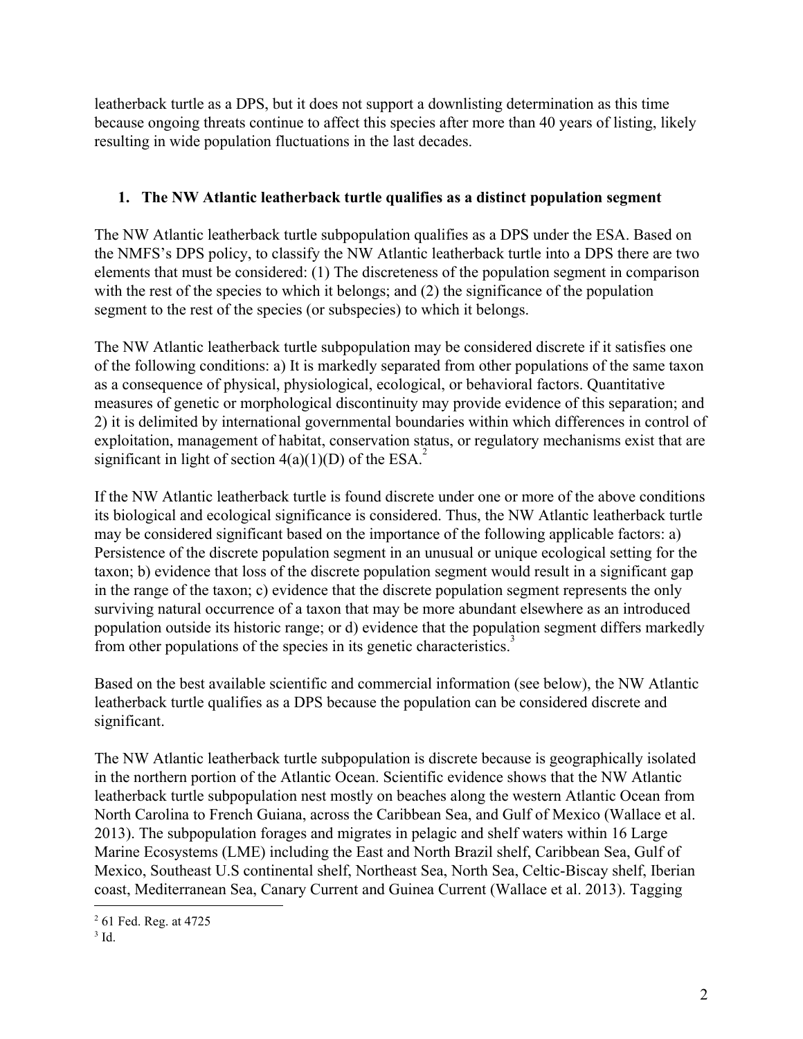leatherback turtle as a DPS, but it does not support a downlisting determination as this time because ongoing threats continue to affect this species after more than 40 years of listing, likely resulting in wide population fluctuations in the last decades.

# **1. The NW Atlantic leatherback turtle qualifies as a distinct population segment**

The NW Atlantic leatherback turtle subpopulation qualifies as a DPS under the ESA. Based on the NMFS's DPS policy, to classify the NW Atlantic leatherback turtle into a DPS there are two elements that must be considered: (1) The discreteness of the population segment in comparison with the rest of the species to which it belongs; and (2) the significance of the population segment to the rest of the species (or subspecies) to which it belongs.

The NW Atlantic leatherback turtle subpopulation may be considered discrete if it satisfies one of the following conditions: a) It is markedly separated from other populations of the same taxon as a consequence of physical, physiological, ecological, or behavioral factors. Quantitative measures of genetic or morphological discontinuity may provide evidence of this separation; and 2) it is delimited by international governmental boundaries within which differences in control of exploitation, management of habitat, conservation status, or regulatory mechanisms exist that are significant in light of section  $4(a)(1)(D)$  of the ESA.<sup>2</sup>

If the NW Atlantic leatherback turtle is found discrete under one or more of the above conditions its biological and ecological significance is considered. Thus, the NW Atlantic leatherback turtle may be considered significant based on the importance of the following applicable factors: a) Persistence of the discrete population segment in an unusual or unique ecological setting for the taxon; b) evidence that loss of the discrete population segment would result in a significant gap in the range of the taxon; c) evidence that the discrete population segment represents the only surviving natural occurrence of a taxon that may be more abundant elsewhere as an introduced population outside its historic range; or d) evidence that the population segment differs markedly from other populations of the species in its genetic characteristics.<sup>3</sup>

Based on the best available scientific and commercial information (see below), the NW Atlantic leatherback turtle qualifies as a DPS because the population can be considered discrete and significant.

The NW Atlantic leatherback turtle subpopulation is discrete because is geographically isolated in the northern portion of the Atlantic Ocean. Scientific evidence shows that the NW Atlantic leatherback turtle subpopulation nest mostly on beaches along the western Atlantic Ocean from North Carolina to French Guiana, across the Caribbean Sea, and Gulf of Mexico (Wallace et al. 2013). The subpopulation forages and migrates in pelagic and shelf waters within 16 Large Marine Ecosystems (LME) including the East and North Brazil shelf, Caribbean Sea, Gulf of Mexico, Southeast U.S continental shelf, Northeast Sea, North Sea, Celtic-Biscay shelf, Iberian coast, Mediterranean Sea, Canary Current and Guinea Current (Wallace et al. 2013). Tagging

<sup>2</sup> 61 Fed. Reg. at 4725

 $3$  Id.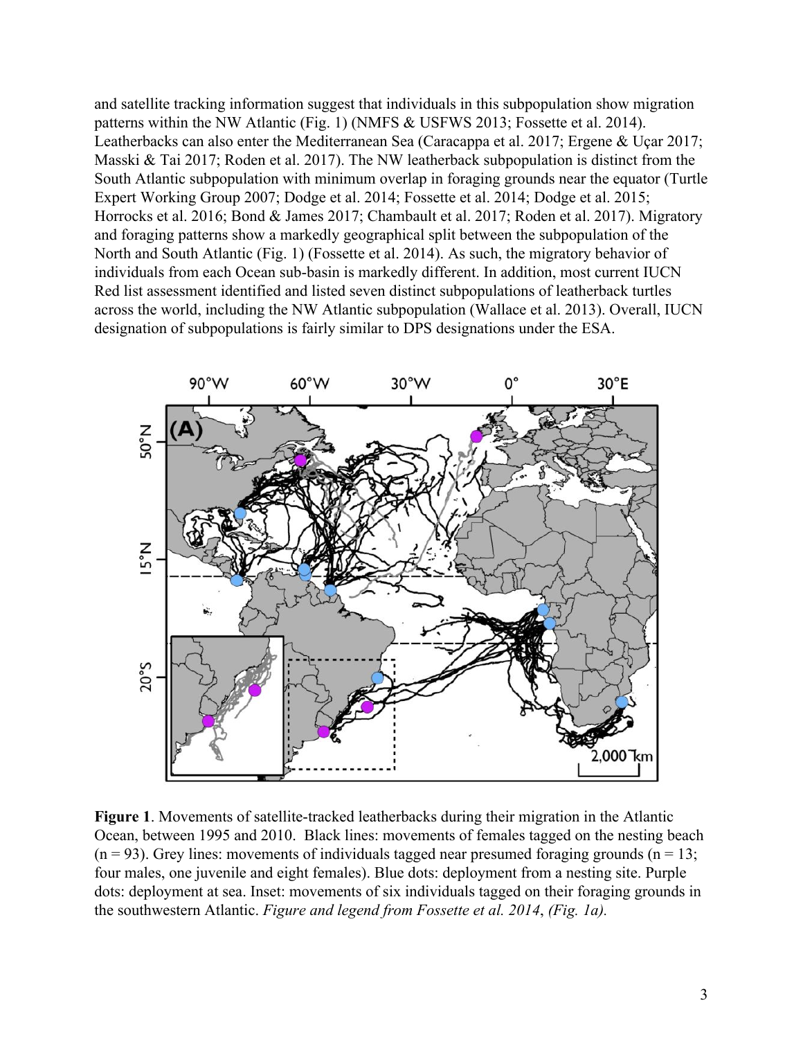and satellite tracking information suggest that individuals in this subpopulation show migration patterns within the NW Atlantic (Fig. 1) (NMFS & USFWS 2013; Fossette et al. 2014). Leatherbacks can also enter the Mediterranean Sea (Caracappa et al. 2017; Ergene & Uçar 2017; Masski & Tai 2017; Roden et al. 2017). The NW leatherback subpopulation is distinct from the South Atlantic subpopulation with minimum overlap in foraging grounds near the equator (Turtle Expert Working Group 2007; Dodge et al. 2014; Fossette et al. 2014; Dodge et al. 2015; Horrocks et al. 2016; Bond & James 2017; Chambault et al. 2017; Roden et al. 2017). Migratory and foraging patterns show a markedly geographical split between the subpopulation of the North and South Atlantic (Fig. 1) (Fossette et al. 2014). As such, the migratory behavior of individuals from each Ocean sub-basin is markedly different. In addition, most current IUCN Red list assessment identified and listed seven distinct subpopulations of leatherback turtles across the world, including the NW Atlantic subpopulation (Wallace et al. 2013). Overall, IUCN designation of subpopulations is fairly similar to DPS designations under the ESA.



**Figure 1**. Movements of satellite-tracked leatherbacks during their migration in the Atlantic Ocean, between 1995 and 2010. Black lines: movements of females tagged on the nesting beach  $(n = 93)$ . Grey lines: movements of individuals tagged near presumed foraging grounds  $(n = 13)$ ; four males, one juvenile and eight females). Blue dots: deployment from a nesting site. Purple dots: deployment at sea. Inset: movements of six individuals tagged on their foraging grounds in the southwestern Atlantic. *Figure and legend from Fossette et al. 2014*, *(Fig. 1a).*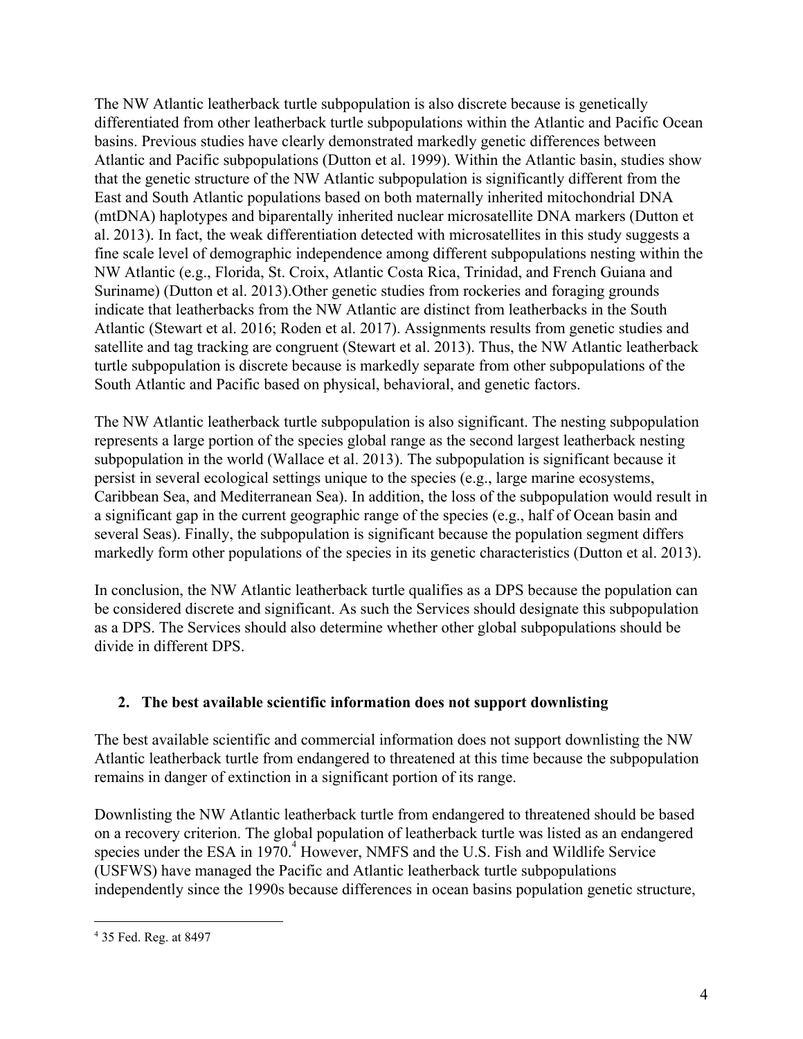The NW Atlantic leatherback turtle subpopulation is also discrete because is genetically differentiated from other leatherback turtle subpopulations within the Atlantic and Pacific Ocean basins. Previous studies have clearly demonstrated markedly genetic differences between Atlantic and Pacific subpopulations (Dutton et al. 1999). Within the Atlantic basin, studies show that the genetic structure of the NW Atlantic subpopulation is significantly different from the East and South Atlantic populations based on both maternally inherited mitochondrial DNA (mtDNA) haplotypes and biparentally inherited nuclear microsatellite DNA markers (Dutton et al. 2013). In fact, the weak differentiation detected with microsatellites in this study suggests a fine scale level of demographic independence among different subpopulations nesting within the NW Atlantic (e.g., Florida, St. Croix, Atlantic Costa Rica, Trinidad, and French Guiana and Suriname) (Dutton et al. 2013).Other genetic studies from rockeries and foraging grounds indicate that leatherbacks from the NW Atlantic are distinct from leatherbacks in the South Atlantic (Stewart et al. 2016; Roden et al. 2017). Assignments results from genetic studies and satellite and tag tracking are congruent (Stewart et al. 2013). Thus, the NW Atlantic leatherback turtle subpopulation is discrete because is markedly separate from other subpopulations of the South Atlantic and Pacific based on physical, behavioral, and genetic factors.

The NW Atlantic leatherback turtle subpopulation is also significant. The nesting subpopulation represents a large portion of the species global range as the second largest leatherback nesting subpopulation in the world (Wallace et al. 2013). The subpopulation is significant because it persist in several ecological settings unique to the species (e.g., large marine ecosystems, Caribbean Sea, and Mediterranean Sea). In addition, the loss of the subpopulation would result in a significant gap in the current geographic range of the species (e.g., half of Ocean basin and several Seas). Finally, the subpopulation is significant because the population segment differs markedly form other populations of the species in its genetic characteristics (Dutton et al. 2013).

In conclusion, the NW Atlantic leatherback turtle qualifies as a DPS because the population can be considered discrete and significant. As such the Services should designate this subpopulation as a DPS. The Services should also determine whether other global subpopulations should be divide in different DPS.

## **2. The best available scientific information does not support downlisting**

The best available scientific and commercial information does not support downlisting the NW Atlantic leatherback turtle from endangered to threatened at this time because the subpopulation remains in danger of extinction in a significant portion of its range.

Downlisting the NW Atlantic leatherback turtle from endangered to threatened should be based on a recovery criterion. The global population of leatherback turtle was listed as an endangered species under the ESA in 1970.<sup>4</sup> However, NMFS and the U.S. Fish and Wildlife Service (USFWS) have managed the Pacific and Atlantic leatherback turtle subpopulations independently since the 1990s because differences in ocean basins population genetic structure,

<sup>4</sup> 35 Fed. Reg. at 8497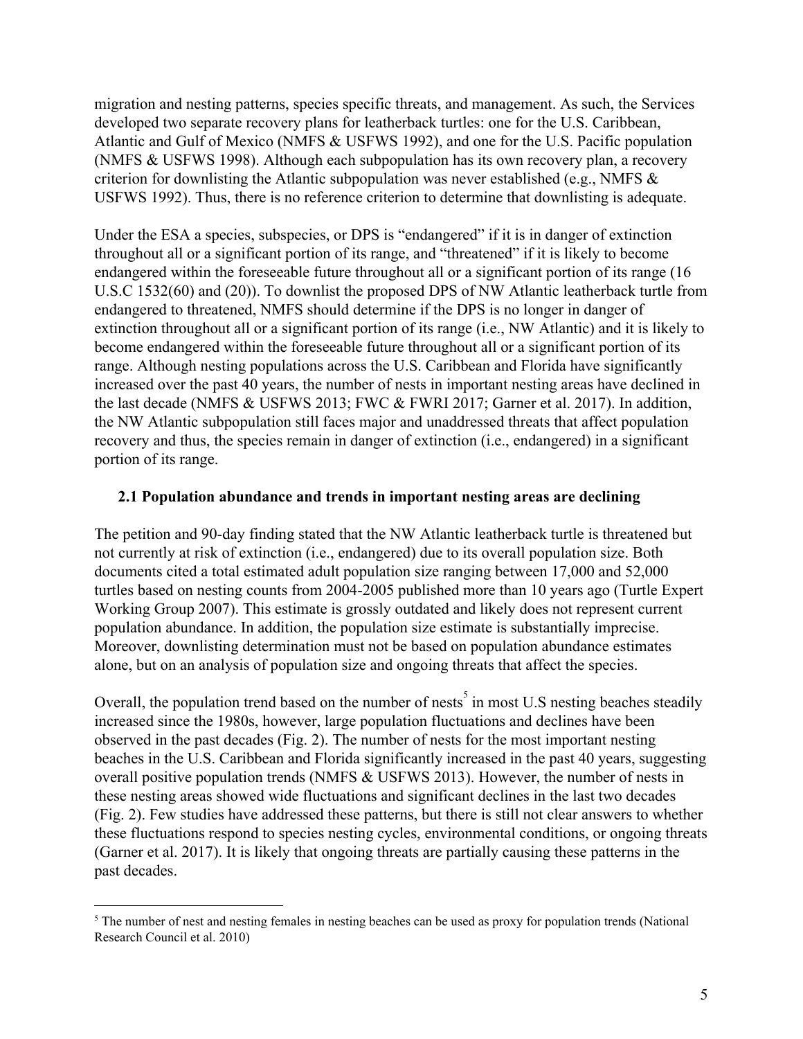migration and nesting patterns, species specific threats, and management. As such, the Services developed two separate recovery plans for leatherback turtles: one for the U.S. Caribbean, Atlantic and Gulf of Mexico (NMFS & USFWS 1992), and one for the U.S. Pacific population (NMFS & USFWS 1998). Although each subpopulation has its own recovery plan, a recovery criterion for downlisting the Atlantic subpopulation was never established (e.g., NMFS  $\&$ USFWS 1992). Thus, there is no reference criterion to determine that downlisting is adequate.

Under the ESA a species, subspecies, or DPS is "endangered" if it is in danger of extinction throughout all or a significant portion of its range, and "threatened" if it is likely to become endangered within the foreseeable future throughout all or a significant portion of its range (16 U.S.C 1532(60) and (20)). To downlist the proposed DPS of NW Atlantic leatherback turtle from endangered to threatened, NMFS should determine if the DPS is no longer in danger of extinction throughout all or a significant portion of its range (i.e., NW Atlantic) and it is likely to become endangered within the foreseeable future throughout all or a significant portion of its range. Although nesting populations across the U.S. Caribbean and Florida have significantly increased over the past 40 years, the number of nests in important nesting areas have declined in the last decade (NMFS & USFWS 2013; FWC & FWRI 2017; Garner et al. 2017). In addition, the NW Atlantic subpopulation still faces major and unaddressed threats that affect population recovery and thus, the species remain in danger of extinction (i.e., endangered) in a significant portion of its range.

#### **2.1 Population abundance and trends in important nesting areas are declining**

The petition and 90-day finding stated that the NW Atlantic leatherback turtle is threatened but not currently at risk of extinction (i.e., endangered) due to its overall population size. Both documents cited a total estimated adult population size ranging between 17,000 and 52,000 turtles based on nesting counts from 2004-2005 published more than 10 years ago (Turtle Expert Working Group 2007). This estimate is grossly outdated and likely does not represent current population abundance. In addition, the population size estimate is substantially imprecise. Moreover, downlisting determination must not be based on population abundance estimates alone, but on an analysis of population size and ongoing threats that affect the species.

Overall, the population trend based on the number of nests<sup>5</sup> in most U.S nesting beaches steadily increased since the 1980s, however, large population fluctuations and declines have been observed in the past decades (Fig. 2). The number of nests for the most important nesting beaches in the U.S. Caribbean and Florida significantly increased in the past 40 years, suggesting overall positive population trends (NMFS & USFWS 2013). However, the number of nests in these nesting areas showed wide fluctuations and significant declines in the last two decades (Fig. 2). Few studies have addressed these patterns, but there is still not clear answers to whether these fluctuations respond to species nesting cycles, environmental conditions, or ongoing threats (Garner et al. 2017). It is likely that ongoing threats are partially causing these patterns in the past decades.

<sup>&</sup>lt;sup>5</sup> The number of nest and nesting females in nesting beaches can be used as proxy for population trends (National Research Council et al. 2010)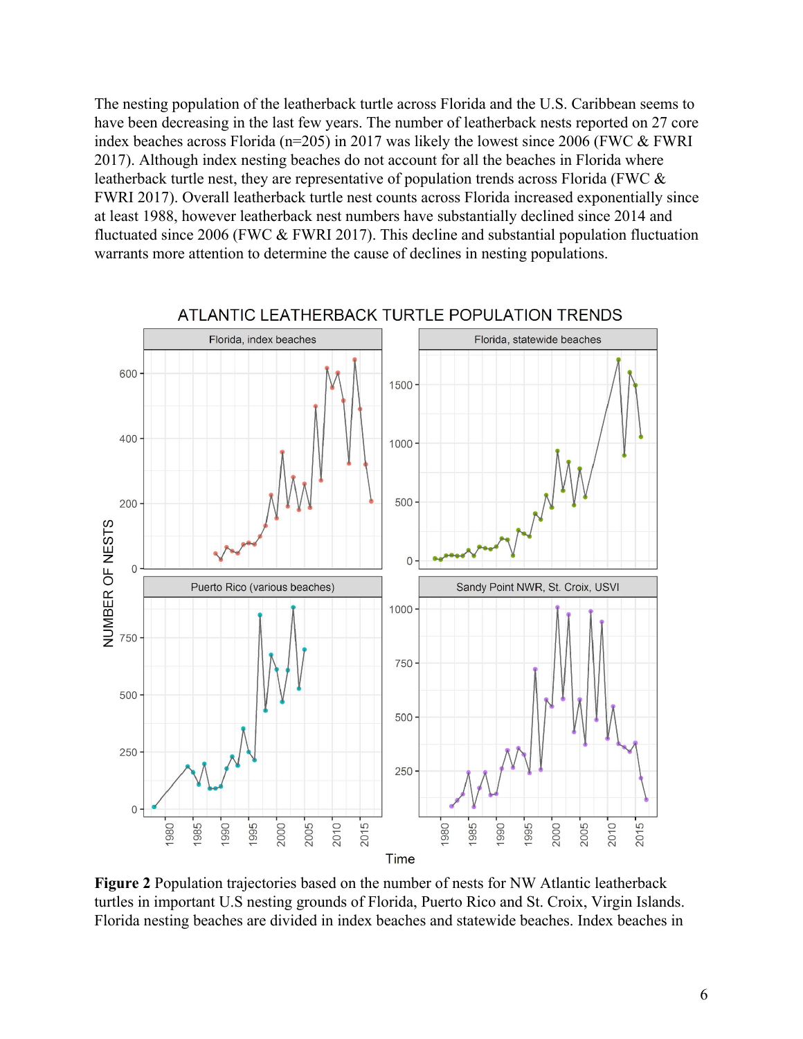The nesting population of the leatherback turtle across Florida and the U.S. Caribbean seems to have been decreasing in the last few years. The number of leatherback nests reported on 27 core index beaches across Florida ( $n=205$ ) in 2017 was likely the lowest since 2006 (FWC  $&$  FWRI 2017). Although index nesting beaches do not account for all the beaches in Florida where leatherback turtle nest, they are representative of population trends across Florida (FWC & FWRI 2017). Overall leatherback turtle nest counts across Florida increased exponentially since at least 1988, however leatherback nest numbers have substantially declined since 2014 and fluctuated since 2006 (FWC & FWRI 2017). This decline and substantial population fluctuation warrants more attention to determine the cause of declines in nesting populations.



ATLANTIC LEATHERBACK TURTLE POPULATION TRENDS

**Figure 2** Population trajectories based on the number of nests for NW Atlantic leatherback turtles in important U.S nesting grounds of Florida, Puerto Rico and St. Croix, Virgin Islands. Florida nesting beaches are divided in index beaches and statewide beaches. Index beaches in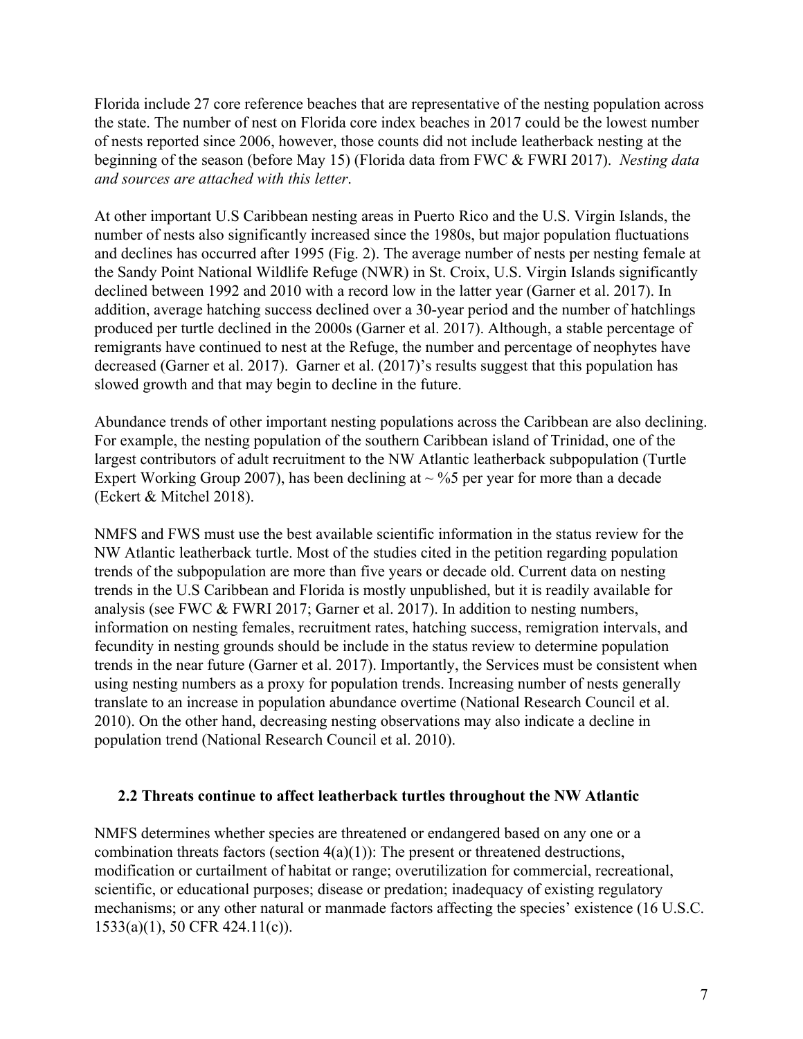Florida include 27 core reference beaches that are representative of the nesting population across the state. The number of nest on Florida core index beaches in 2017 could be the lowest number of nests reported since 2006, however, those counts did not include leatherback nesting at the beginning of the season (before May 15) (Florida data from FWC & FWRI 2017). *Nesting data and sources are attached with this letter*.

At other important U.S Caribbean nesting areas in Puerto Rico and the U.S. Virgin Islands, the number of nests also significantly increased since the 1980s, but major population fluctuations and declines has occurred after 1995 (Fig. 2). The average number of nests per nesting female at the Sandy Point National Wildlife Refuge (NWR) in St. Croix, U.S. Virgin Islands significantly declined between 1992 and 2010 with a record low in the latter year (Garner et al. 2017). In addition, average hatching success declined over a 30-year period and the number of hatchlings produced per turtle declined in the 2000s (Garner et al. 2017). Although, a stable percentage of remigrants have continued to nest at the Refuge, the number and percentage of neophytes have decreased (Garner et al. 2017). Garner et al. (2017)'s results suggest that this population has slowed growth and that may begin to decline in the future.

Abundance trends of other important nesting populations across the Caribbean are also declining. For example, the nesting population of the southern Caribbean island of Trinidad, one of the largest contributors of adult recruitment to the NW Atlantic leatherback subpopulation (Turtle Expert Working Group 2007), has been declining at  $\sim$  %5 per year for more than a decade (Eckert & Mitchel 2018).

NMFS and FWS must use the best available scientific information in the status review for the NW Atlantic leatherback turtle. Most of the studies cited in the petition regarding population trends of the subpopulation are more than five years or decade old. Current data on nesting trends in the U.S Caribbean and Florida is mostly unpublished, but it is readily available for analysis (see FWC & FWRI 2017; Garner et al. 2017). In addition to nesting numbers, information on nesting females, recruitment rates, hatching success, remigration intervals, and fecundity in nesting grounds should be include in the status review to determine population trends in the near future (Garner et al. 2017). Importantly, the Services must be consistent when using nesting numbers as a proxy for population trends. Increasing number of nests generally translate to an increase in population abundance overtime (National Research Council et al. 2010). On the other hand, decreasing nesting observations may also indicate a decline in population trend (National Research Council et al. 2010).

#### **2.2 Threats continue to affect leatherback turtles throughout the NW Atlantic**

NMFS determines whether species are threatened or endangered based on any one or a combination threats factors (section  $4(a)(1)$ ): The present or threatened destructions, modification or curtailment of habitat or range; overutilization for commercial, recreational, scientific, or educational purposes; disease or predation; inadequacy of existing regulatory mechanisms; or any other natural or manmade factors affecting the species' existence (16 U.S.C. 1533(a)(1), 50 CFR 424.11(c)).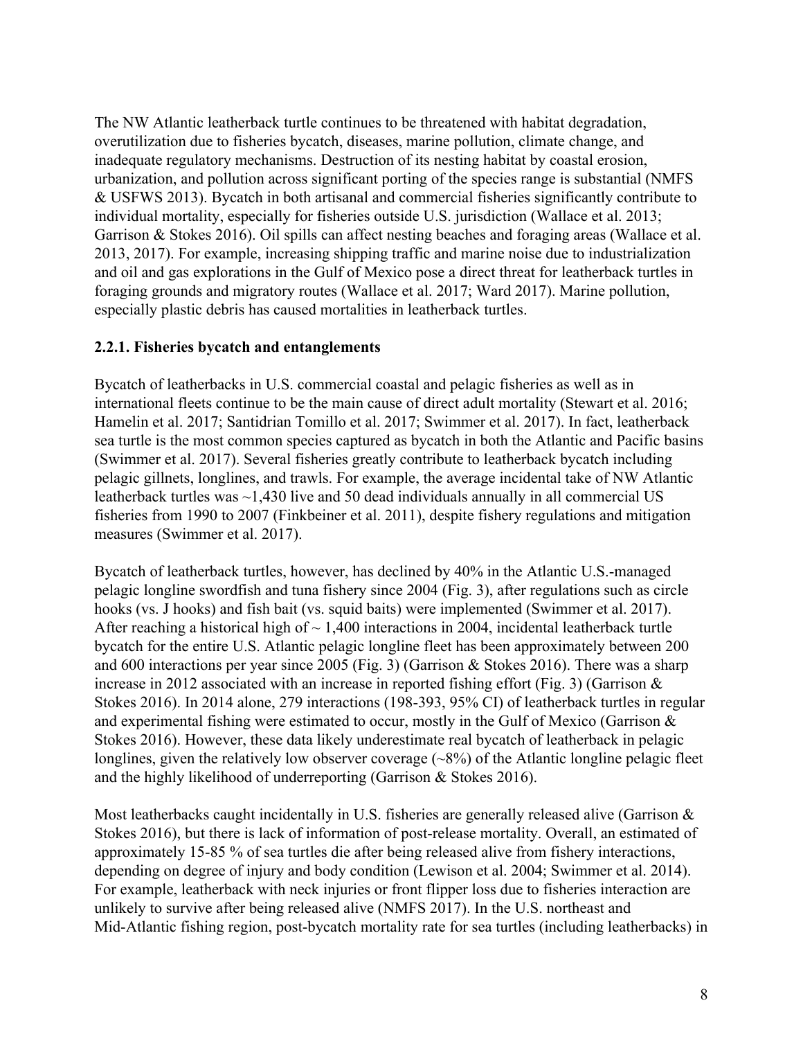The NW Atlantic leatherback turtle continues to be threatened with habitat degradation, overutilization due to fisheries bycatch, diseases, marine pollution, climate change, and inadequate regulatory mechanisms. Destruction of its nesting habitat by coastal erosion, urbanization, and pollution across significant porting of the species range is substantial (NMFS & USFWS 2013). Bycatch in both artisanal and commercial fisheries significantly contribute to individual mortality, especially for fisheries outside U.S. jurisdiction (Wallace et al. 2013; Garrison & Stokes 2016). Oil spills can affect nesting beaches and foraging areas (Wallace et al. 2013, 2017). For example, increasing shipping traffic and marine noise due to industrialization and oil and gas explorations in the Gulf of Mexico pose a direct threat for leatherback turtles in foraging grounds and migratory routes (Wallace et al. 2017; Ward 2017). Marine pollution, especially plastic debris has caused mortalities in leatherback turtles.

### **2.2.1. Fisheries bycatch and entanglements**

Bycatch of leatherbacks in U.S. commercial coastal and pelagic fisheries as well as in international fleets continue to be the main cause of direct adult mortality (Stewart et al. 2016; Hamelin et al. 2017; Santidrian Tomillo et al. 2017; Swimmer et al. 2017). In fact, leatherback sea turtle is the most common species captured as bycatch in both the Atlantic and Pacific basins (Swimmer et al. 2017). Several fisheries greatly contribute to leatherback bycatch including pelagic gillnets, longlines, and trawls. For example, the average incidental take of NW Atlantic leatherback turtles was ~1,430 live and 50 dead individuals annually in all commercial US fisheries from 1990 to 2007 (Finkbeiner et al. 2011), despite fishery regulations and mitigation measures (Swimmer et al. 2017).

Bycatch of leatherback turtles, however, has declined by 40% in the Atlantic U.S.-managed pelagic longline swordfish and tuna fishery since 2004 (Fig. 3), after regulations such as circle hooks (vs. J hooks) and fish bait (vs. squid baits) were implemented (Swimmer et al. 2017). After reaching a historical high of  $\sim 1,400$  interactions in 2004, incidental leatherback turtle bycatch for the entire U.S. Atlantic pelagic longline fleet has been approximately between 200 and 600 interactions per year since 2005 (Fig. 3) (Garrison & Stokes 2016). There was a sharp increase in 2012 associated with an increase in reported fishing effort (Fig. 3) (Garrison & Stokes 2016). In 2014 alone, 279 interactions (198-393, 95% CI) of leatherback turtles in regular and experimental fishing were estimated to occur, mostly in the Gulf of Mexico (Garrison & Stokes 2016). However, these data likely underestimate real bycatch of leatherback in pelagic longlines, given the relatively low observer coverage  $(\sim 8\%)$  of the Atlantic longline pelagic fleet and the highly likelihood of underreporting (Garrison & Stokes 2016).

Most leatherbacks caught incidentally in U.S. fisheries are generally released alive (Garrison & Stokes 2016), but there is lack of information of post-release mortality. Overall, an estimated of approximately 15-85 % of sea turtles die after being released alive from fishery interactions, depending on degree of injury and body condition (Lewison et al. 2004; Swimmer et al. 2014). For example, leatherback with neck injuries or front flipper loss due to fisheries interaction are unlikely to survive after being released alive (NMFS 2017). In the U.S. northeast and Mid-Atlantic fishing region, post-bycatch mortality rate for sea turtles (including leatherbacks) in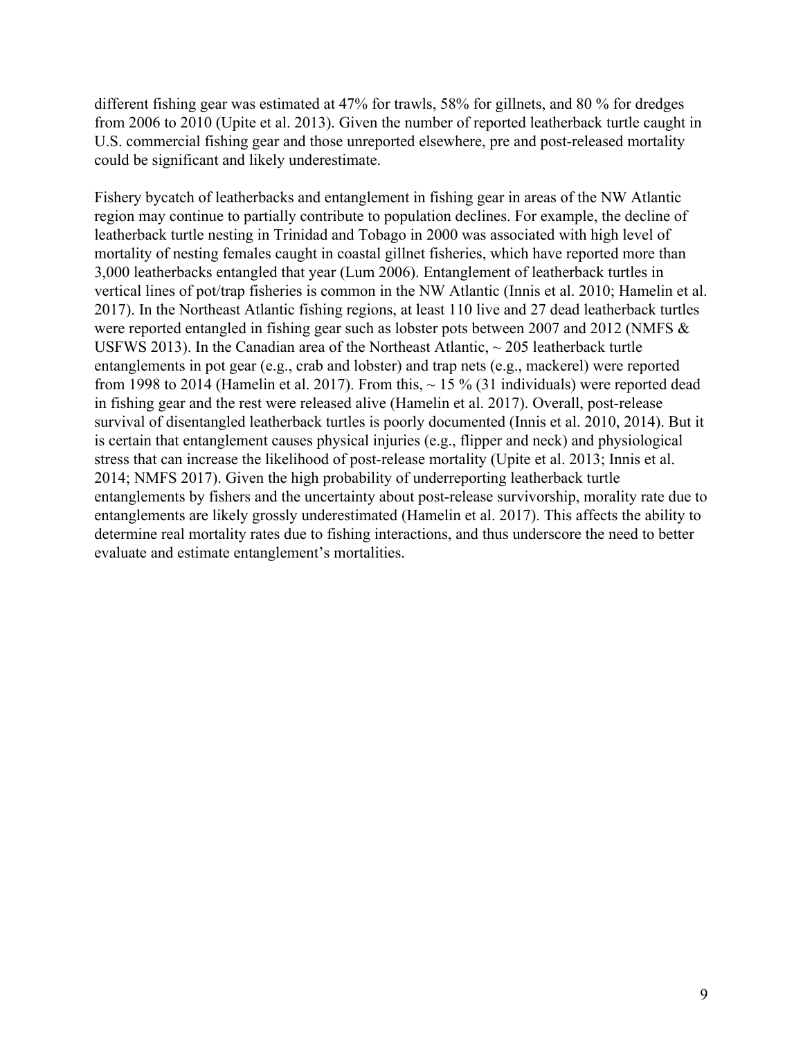different fishing gear was estimated at 47% for trawls, 58% for gillnets, and 80 % for dredges from 2006 to 2010 (Upite et al. 2013). Given the number of reported leatherback turtle caught in U.S. commercial fishing gear and those unreported elsewhere, pre and post-released mortality could be significant and likely underestimate.

Fishery bycatch of leatherbacks and entanglement in fishing gear in areas of the NW Atlantic region may continue to partially contribute to population declines. For example, the decline of leatherback turtle nesting in Trinidad and Tobago in 2000 was associated with high level of mortality of nesting females caught in coastal gillnet fisheries, which have reported more than 3,000 leatherbacks entangled that year (Lum 2006). Entanglement of leatherback turtles in vertical lines of pot/trap fisheries is common in the NW Atlantic (Innis et al. 2010; Hamelin et al. 2017). In the Northeast Atlantic fishing regions, at least 110 live and 27 dead leatherback turtles were reported entangled in fishing gear such as lobster pots between 2007 and 2012 (NMFS & USFWS 2013). In the Canadian area of the Northeast Atlantic,  $\sim$  205 leatherback turtle entanglements in pot gear (e.g., crab and lobster) and trap nets (e.g., mackerel) were reported from 1998 to 2014 (Hamelin et al. 2017). From this,  $\sim$  15 % (31 individuals) were reported dead in fishing gear and the rest were released alive (Hamelin et al. 2017). Overall, post-release survival of disentangled leatherback turtles is poorly documented (Innis et al. 2010, 2014). But it is certain that entanglement causes physical injuries (e.g., flipper and neck) and physiological stress that can increase the likelihood of post-release mortality (Upite et al. 2013; Innis et al. 2014; NMFS 2017). Given the high probability of underreporting leatherback turtle entanglements by fishers and the uncertainty about post-release survivorship, morality rate due to entanglements are likely grossly underestimated (Hamelin et al. 2017). This affects the ability to determine real mortality rates due to fishing interactions, and thus underscore the need to better evaluate and estimate entanglement's mortalities.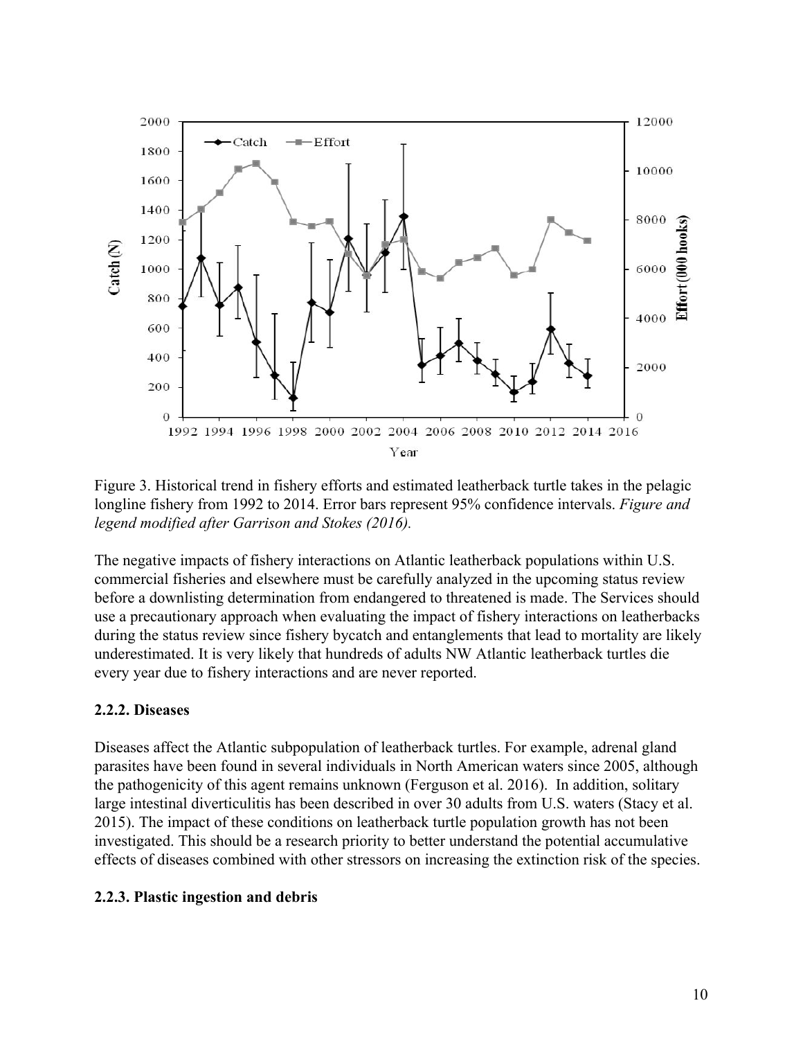

Figure 3. Historical trend in fishery efforts and estimated leatherback turtle takes in the pelagic longline fishery from 1992 to 2014. Error bars represent 95% confidence intervals. *Figure and legend modified after Garrison and Stokes (2016).*

The negative impacts of fishery interactions on Atlantic leatherback populations within U.S. commercial fisheries and elsewhere must be carefully analyzed in the upcoming status review before a downlisting determination from endangered to threatened is made. The Services should use a precautionary approach when evaluating the impact of fishery interactions on leatherbacks during the status review since fishery bycatch and entanglements that lead to mortality are likely underestimated. It is very likely that hundreds of adults NW Atlantic leatherback turtles die every year due to fishery interactions and are never reported.

### **2.2.2. Diseases**

Diseases affect the Atlantic subpopulation of leatherback turtles. For example, adrenal gland parasites have been found in several individuals in North American waters since 2005, although the pathogenicity of this agent remains unknown (Ferguson et al. 2016). In addition, solitary large intestinal diverticulitis has been described in over 30 adults from U.S. waters (Stacy et al. 2015). The impact of these conditions on leatherback turtle population growth has not been investigated. This should be a research priority to better understand the potential accumulative effects of diseases combined with other stressors on increasing the extinction risk of the species.

### **2.2.3. Plastic ingestion and debris**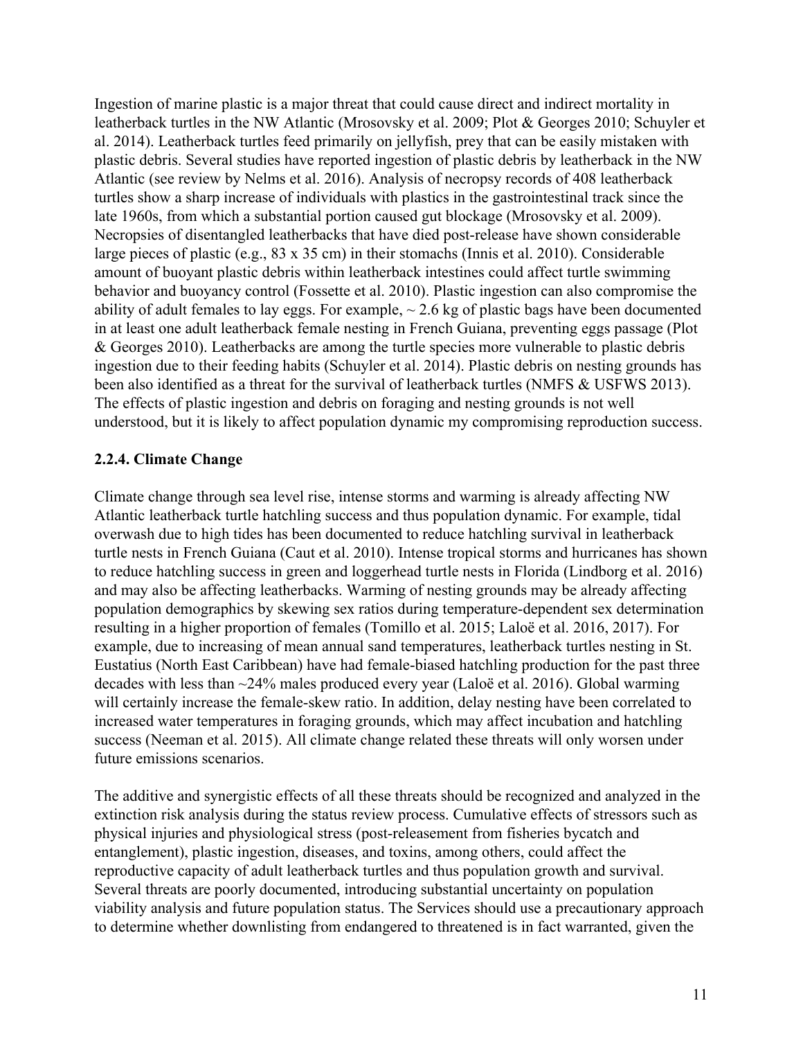Ingestion of marine plastic is a major threat that could cause direct and indirect mortality in leatherback turtles in the NW Atlantic (Mrosovsky et al. 2009; Plot & Georges 2010; Schuyler et al. 2014). Leatherback turtles feed primarily on jellyfish, prey that can be easily mistaken with plastic debris. Several studies have reported ingestion of plastic debris by leatherback in the NW Atlantic (see review by Nelms et al. 2016). Analysis of necropsy records of 408 leatherback turtles show a sharp increase of individuals with plastics in the gastrointestinal track since the late 1960s, from which a substantial portion caused gut blockage (Mrosovsky et al. 2009). Necropsies of disentangled leatherbacks that have died post-release have shown considerable large pieces of plastic (e.g., 83 x 35 cm) in their stomachs (Innis et al. 2010). Considerable amount of buoyant plastic debris within leatherback intestines could affect turtle swimming behavior and buoyancy control (Fossette et al. 2010). Plastic ingestion can also compromise the ability of adult females to lay eggs. For example,  $\sim$  2.6 kg of plastic bags have been documented in at least one adult leatherback female nesting in French Guiana, preventing eggs passage (Plot & Georges 2010). Leatherbacks are among the turtle species more vulnerable to plastic debris ingestion due to their feeding habits (Schuyler et al. 2014). Plastic debris on nesting grounds has been also identified as a threat for the survival of leatherback turtles (NMFS & USFWS 2013). The effects of plastic ingestion and debris on foraging and nesting grounds is not well understood, but it is likely to affect population dynamic my compromising reproduction success.

### **2.2.4. Climate Change**

Climate change through sea level rise, intense storms and warming is already affecting NW Atlantic leatherback turtle hatchling success and thus population dynamic. For example, tidal overwash due to high tides has been documented to reduce hatchling survival in leatherback turtle nests in French Guiana (Caut et al. 2010). Intense tropical storms and hurricanes has shown to reduce hatchling success in green and loggerhead turtle nests in Florida (Lindborg et al. 2016) and may also be affecting leatherbacks. Warming of nesting grounds may be already affecting population demographics by skewing sex ratios during temperature-dependent sex determination resulting in a higher proportion of females (Tomillo et al. 2015; Laloë et al. 2016, 2017). For example, due to increasing of mean annual sand temperatures, leatherback turtles nesting in St. Eustatius (North East Caribbean) have had female-biased hatchling production for the past three decades with less than ~24% males produced every year (Laloë et al. 2016). Global warming will certainly increase the female-skew ratio. In addition, delay nesting have been correlated to increased water temperatures in foraging grounds, which may affect incubation and hatchling success (Neeman et al. 2015). All climate change related these threats will only worsen under future emissions scenarios.

The additive and synergistic effects of all these threats should be recognized and analyzed in the extinction risk analysis during the status review process. Cumulative effects of stressors such as physical injuries and physiological stress (post-releasement from fisheries bycatch and entanglement), plastic ingestion, diseases, and toxins, among others, could affect the reproductive capacity of adult leatherback turtles and thus population growth and survival. Several threats are poorly documented, introducing substantial uncertainty on population viability analysis and future population status. The Services should use a precautionary approach to determine whether downlisting from endangered to threatened is in fact warranted, given the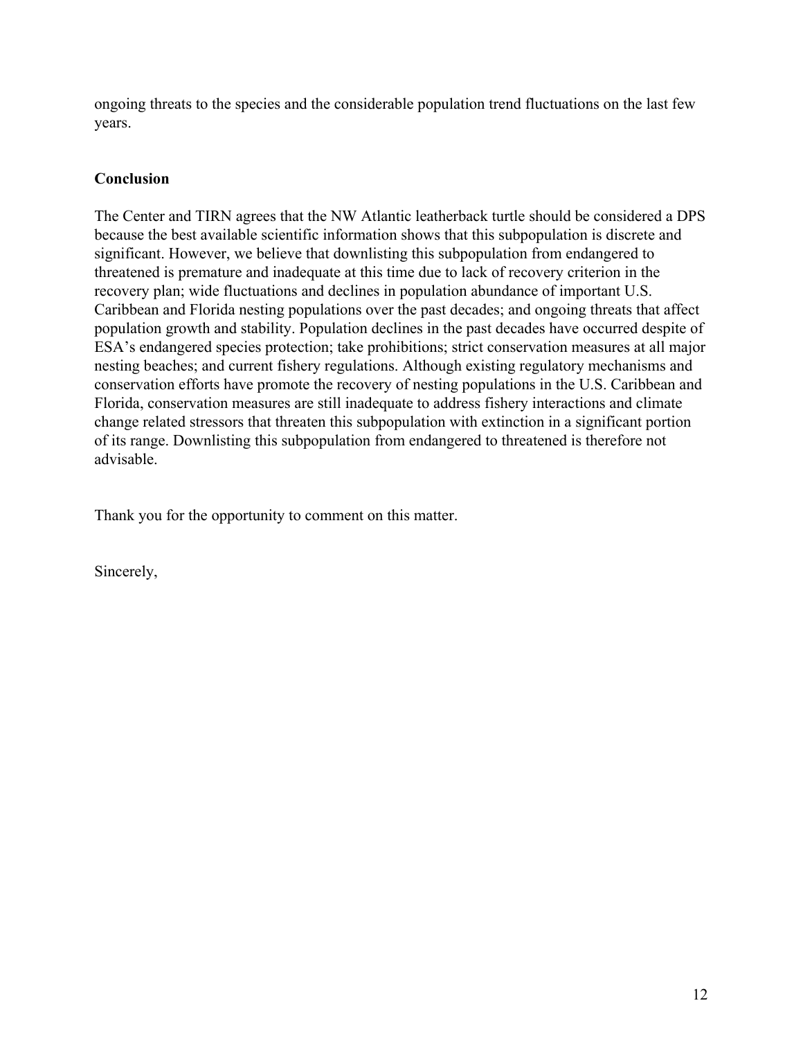ongoing threats to the species and the considerable population trend fluctuations on the last few years.

### **Conclusion**

The Center and TIRN agrees that the NW Atlantic leatherback turtle should be considered a DPS because the best available scientific information shows that this subpopulation is discrete and significant. However, we believe that downlisting this subpopulation from endangered to threatened is premature and inadequate at this time due to lack of recovery criterion in the recovery plan; wide fluctuations and declines in population abundance of important U.S. Caribbean and Florida nesting populations over the past decades; and ongoing threats that affect population growth and stability. Population declines in the past decades have occurred despite of ESA's endangered species protection; take prohibitions; strict conservation measures at all major nesting beaches; and current fishery regulations. Although existing regulatory mechanisms and conservation efforts have promote the recovery of nesting populations in the U.S. Caribbean and Florida, conservation measures are still inadequate to address fishery interactions and climate change related stressors that threaten this subpopulation with extinction in a significant portion of its range. Downlisting this subpopulation from endangered to threatened is therefore not advisable.

Thank you for the opportunity to comment on this matter.

Sincerely,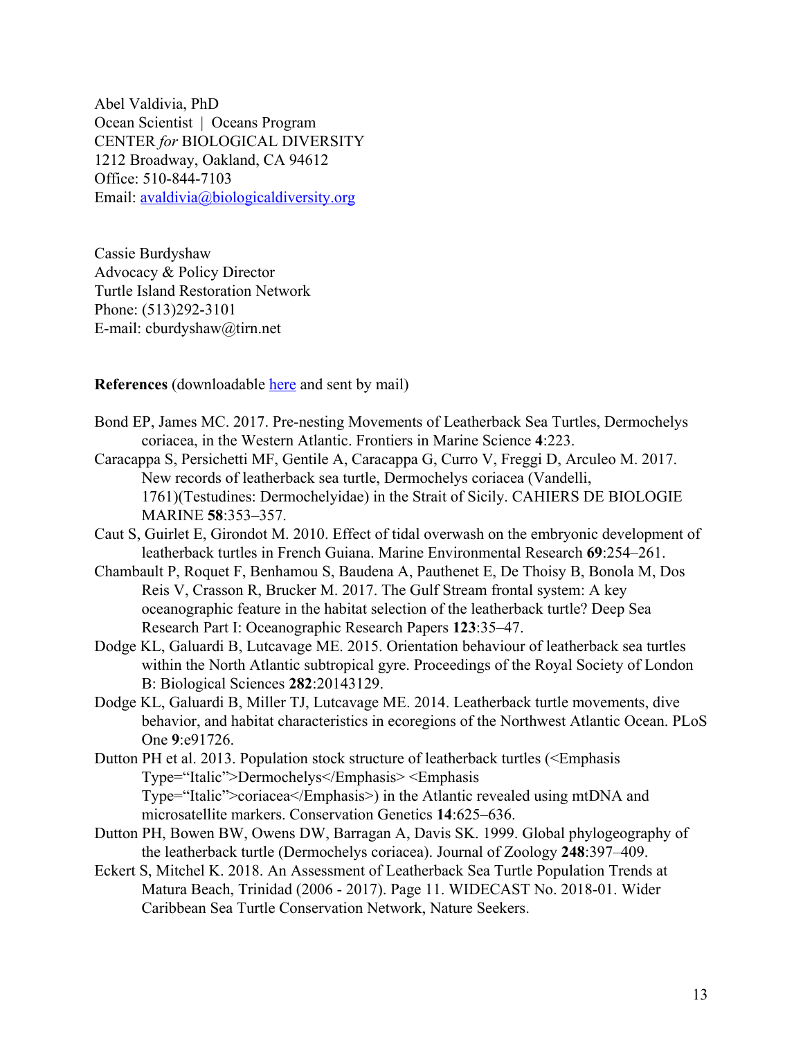Abel Valdivia, PhD Ocean Scientist | Oceans Program CENTER *for* BIOLOGICAL DIVERSITY 1212 Broadway, Oakland, CA 94612 Office: 510-844-7103 Email: [avaldivia@biologicaldiversity.org](mailto:avaldivia@biologicaldiversity.org)

Cassie Burdyshaw Advocacy & Policy Director Turtle Island Restoration Network Phone: (513)292-3101 E-mail: [cburdyshaw@tirn.net](mailto:cburdyshaw@tirn.net)

**References** (downloadable [here](https://www.dropbox.com/sh/89ldiq81kc0tmqx/AAD-g8psA_iTYFFG-QOqNjuca?dl=0) and sent by mail)

- Bond EP, James MC. 2017. Pre-nesting Movements of Leatherback Sea Turtles, Dermochelys coriacea, in the Western Atlantic. Frontiers in Marine Science **4**:223.
- Caracappa S, Persichetti MF, Gentile A, Caracappa G, Curro V, Freggi D, Arculeo M. 2017. New records of leatherback sea turtle, Dermochelys coriacea (Vandelli, 1761)(Testudines: Dermochelyidae) in the Strait of Sicily. CAHIERS DE BIOLOGIE MARINE **58**:353–357.
- Caut S, Guirlet E, Girondot M. 2010. Effect of tidal overwash on the embryonic development of leatherback turtles in French Guiana. Marine Environmental Research **69**:254–261.
- Chambault P, Roquet F, Benhamou S, Baudena A, Pauthenet E, De Thoisy B, Bonola M, Dos Reis V, Crasson R, Brucker M. 2017. The Gulf Stream frontal system: A key oceanographic feature in the habitat selection of the leatherback turtle? Deep Sea Research Part I: Oceanographic Research Papers **123**:35–47.
- Dodge KL, Galuardi B, Lutcavage ME. 2015. Orientation behaviour of leatherback sea turtles within the North Atlantic subtropical gyre. Proceedings of the Royal Society of London B: Biological Sciences **282**:20143129.
- Dodge KL, Galuardi B, Miller TJ, Lutcavage ME. 2014. Leatherback turtle movements, dive behavior, and habitat characteristics in ecoregions of the Northwest Atlantic Ocean. PLoS One **9**:e91726.
- Dutton PH et al. 2013. Population stock structure of leatherback turtles (<Emphasis Type="Italic">Dermochelys</Emphasis> <Emphasis Type="Italic">coriacea</Emphasis>) in the Atlantic revealed using mtDNA and microsatellite markers. Conservation Genetics **14**:625–636.
- Dutton PH, Bowen BW, Owens DW, Barragan A, Davis SK. 1999. Global phylogeography of the leatherback turtle (Dermochelys coriacea). Journal of Zoology **248**:397–409.
- Eckert S, Mitchel K. 2018. An Assessment of Leatherback Sea Turtle Population Trends at Matura Beach, Trinidad (2006 - 2017). Page 11. WIDECAST No. 2018-01. Wider Caribbean Sea Turtle Conservation Network, Nature Seekers.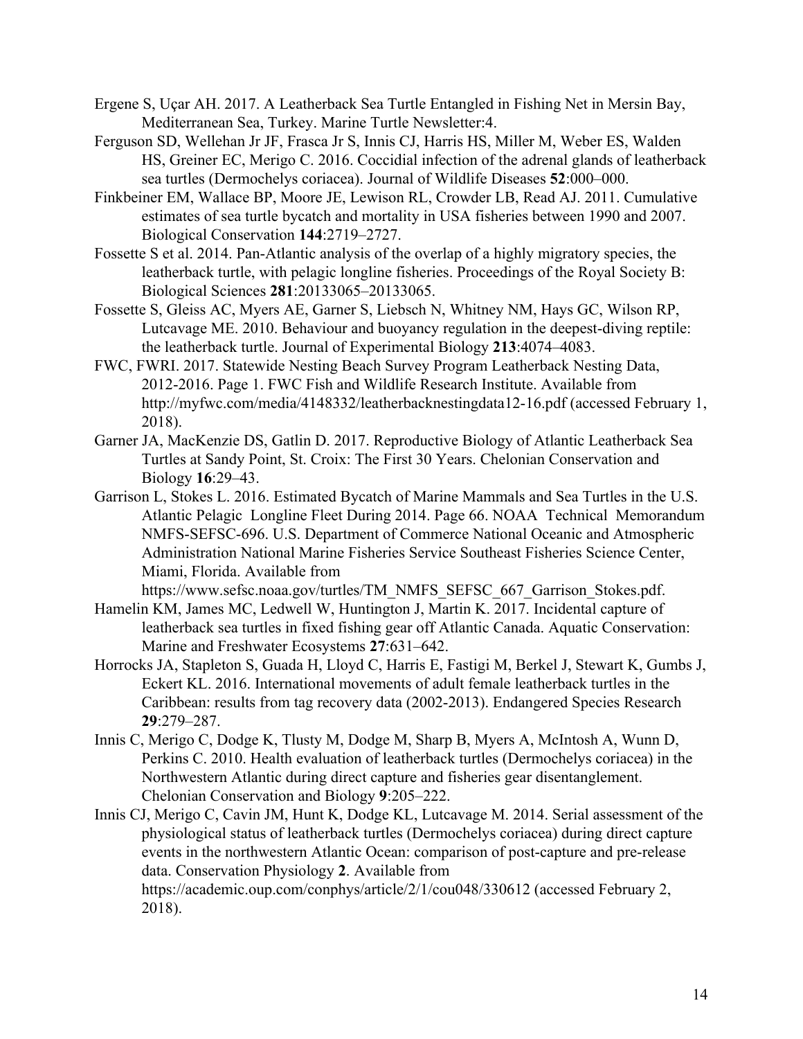- Ergene S, Uçar AH. 2017. A Leatherback Sea Turtle Entangled in Fishing Net in Mersin Bay, Mediterranean Sea, Turkey. Marine Turtle Newsletter:4.
- Ferguson SD, Wellehan Jr JF, Frasca Jr S, Innis CJ, Harris HS, Miller M, Weber ES, Walden HS, Greiner EC, Merigo C. 2016. Coccidial infection of the adrenal glands of leatherback sea turtles (Dermochelys coriacea). Journal of Wildlife Diseases **52**:000–000.
- Finkbeiner EM, Wallace BP, Moore JE, Lewison RL, Crowder LB, Read AJ. 2011. Cumulative estimates of sea turtle bycatch and mortality in USA fisheries between 1990 and 2007. Biological Conservation **144**:2719–2727.
- Fossette S et al. 2014. Pan-Atlantic analysis of the overlap of a highly migratory species, the leatherback turtle, with pelagic longline fisheries. Proceedings of the Royal Society B: Biological Sciences **281**:20133065–20133065.
- Fossette S, Gleiss AC, Myers AE, Garner S, Liebsch N, Whitney NM, Hays GC, Wilson RP, Lutcavage ME. 2010. Behaviour and buoyancy regulation in the deepest-diving reptile: the leatherback turtle. Journal of Experimental Biology **213**:4074–4083.
- FWC, FWRI. 2017. Statewide Nesting Beach Survey Program Leatherback Nesting Data, 2012-2016. Page 1. FWC Fish and Wildlife Research Institute. Available from http://myfwc.com/media/4148332/leatherbacknestingdata12-16.pdf (accessed February 1, 2018).
- Garner JA, MacKenzie DS, Gatlin D. 2017. Reproductive Biology of Atlantic Leatherback Sea Turtles at Sandy Point, St. Croix: The First 30 Years. Chelonian Conservation and Biology **16**:29–43.
- Garrison L, Stokes L. 2016. Estimated Bycatch of Marine Mammals and Sea Turtles in the U.S. Atlantic Pelagic Longline Fleet During 2014. Page 66. NOAA Technical Memorandum NMFS-SEFSC-696. U.S. Department of Commerce National Oceanic and Atmospheric Administration National Marine Fisheries Service Southeast Fisheries Science Center, Miami, Florida. Available from

https://www.sefsc.noaa.gov/turtles/TM\_NMFS\_SEFSC\_667\_Garrison\_Stokes.pdf.

- Hamelin KM, James MC, Ledwell W, Huntington J, Martin K. 2017. Incidental capture of leatherback sea turtles in fixed fishing gear off Atlantic Canada. Aquatic Conservation: Marine and Freshwater Ecosystems **27**:631–642.
- Horrocks JA, Stapleton S, Guada H, Lloyd C, Harris E, Fastigi M, Berkel J, Stewart K, Gumbs J, Eckert KL. 2016. International movements of adult female leatherback turtles in the Caribbean: results from tag recovery data (2002-2013). Endangered Species Research **29**:279–287.
- Innis C, Merigo C, Dodge K, Tlusty M, Dodge M, Sharp B, Myers A, McIntosh A, Wunn D, Perkins C. 2010. Health evaluation of leatherback turtles (Dermochelys coriacea) in the Northwestern Atlantic during direct capture and fisheries gear disentanglement. Chelonian Conservation and Biology **9**:205–222.
- Innis CJ, Merigo C, Cavin JM, Hunt K, Dodge KL, Lutcavage M. 2014. Serial assessment of the physiological status of leatherback turtles (Dermochelys coriacea) during direct capture events in the northwestern Atlantic Ocean: comparison of post-capture and pre-release data. Conservation Physiology **2**. Available from https://academic.oup.com/conphys/article/2/1/cou048/330612 (accessed February 2, 2018).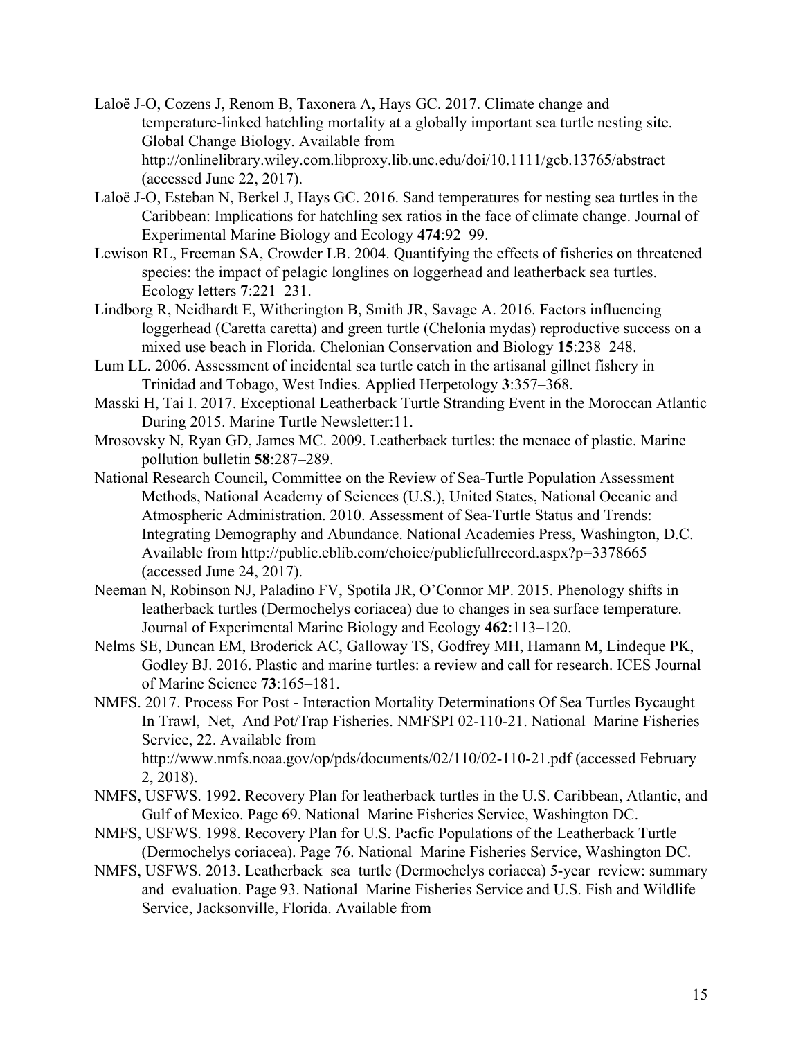- Laloë J-O, Cozens J, Renom B, Taxonera A, Hays GC. 2017. Climate change and temperature-linked hatchling mortality at a globally important sea turtle nesting site. Global Change Biology. Available from http://onlinelibrary.wiley.com.libproxy.lib.unc.edu/doi/10.1111/gcb.13765/abstract (accessed June 22, 2017).
- Laloë J-O, Esteban N, Berkel J, Hays GC. 2016. Sand temperatures for nesting sea turtles in the Caribbean: Implications for hatchling sex ratios in the face of climate change. Journal of Experimental Marine Biology and Ecology **474**:92–99.
- Lewison RL, Freeman SA, Crowder LB. 2004. Quantifying the effects of fisheries on threatened species: the impact of pelagic longlines on loggerhead and leatherback sea turtles. Ecology letters **7**:221–231.
- Lindborg R, Neidhardt E, Witherington B, Smith JR, Savage A. 2016. Factors influencing loggerhead (Caretta caretta) and green turtle (Chelonia mydas) reproductive success on a mixed use beach in Florida. Chelonian Conservation and Biology **15**:238–248.
- Lum LL. 2006. Assessment of incidental sea turtle catch in the artisanal gillnet fishery in Trinidad and Tobago, West Indies. Applied Herpetology **3**:357–368.
- Masski H, Tai I. 2017. Exceptional Leatherback Turtle Stranding Event in the Moroccan Atlantic During 2015. Marine Turtle Newsletter:11.
- Mrosovsky N, Ryan GD, James MC. 2009. Leatherback turtles: the menace of plastic. Marine pollution bulletin **58**:287–289.
- National Research Council, Committee on the Review of Sea-Turtle Population Assessment Methods, National Academy of Sciences (U.S.), United States, National Oceanic and Atmospheric Administration. 2010. Assessment of Sea-Turtle Status and Trends: Integrating Demography and Abundance. National Academies Press, Washington, D.C. Available from http://public.eblib.com/choice/publicfullrecord.aspx?p=3378665 (accessed June 24, 2017).
- Neeman N, Robinson NJ, Paladino FV, Spotila JR, O'Connor MP. 2015. Phenology shifts in leatherback turtles (Dermochelys coriacea) due to changes in sea surface temperature. Journal of Experimental Marine Biology and Ecology **462**:113–120.
- Nelms SE, Duncan EM, Broderick AC, Galloway TS, Godfrey MH, Hamann M, Lindeque PK, Godley BJ. 2016. Plastic and marine turtles: a review and call for research. ICES Journal of Marine Science **73**:165–181.
- NMFS. 2017. Process For Post Interaction Mortality Determinations Of Sea Turtles Bycaught In Trawl, Net, And Pot/Trap Fisheries. NMFSPI 02-110-21. National Marine Fisheries Service, 22. Available from http://www.nmfs.noaa.gov/op/pds/documents/02/110/02-110-21.pdf (accessed February 2, 2018).
- NMFS, USFWS. 1992. Recovery Plan for leatherback turtles in the U.S. Caribbean, Atlantic, and Gulf of Mexico. Page 69. National Marine Fisheries Service, Washington DC.
- NMFS, USFWS. 1998. Recovery Plan for U.S. Pacfic Populations of the Leatherback Turtle (Dermochelys coriacea). Page 76. National Marine Fisheries Service, Washington DC.
- NMFS, USFWS. 2013. Leatherback sea turtle (Dermochelys coriacea) 5-year review: summary and evaluation. Page 93. National Marine Fisheries Service and U.S. Fish and Wildlife Service, Jacksonville, Florida. Available from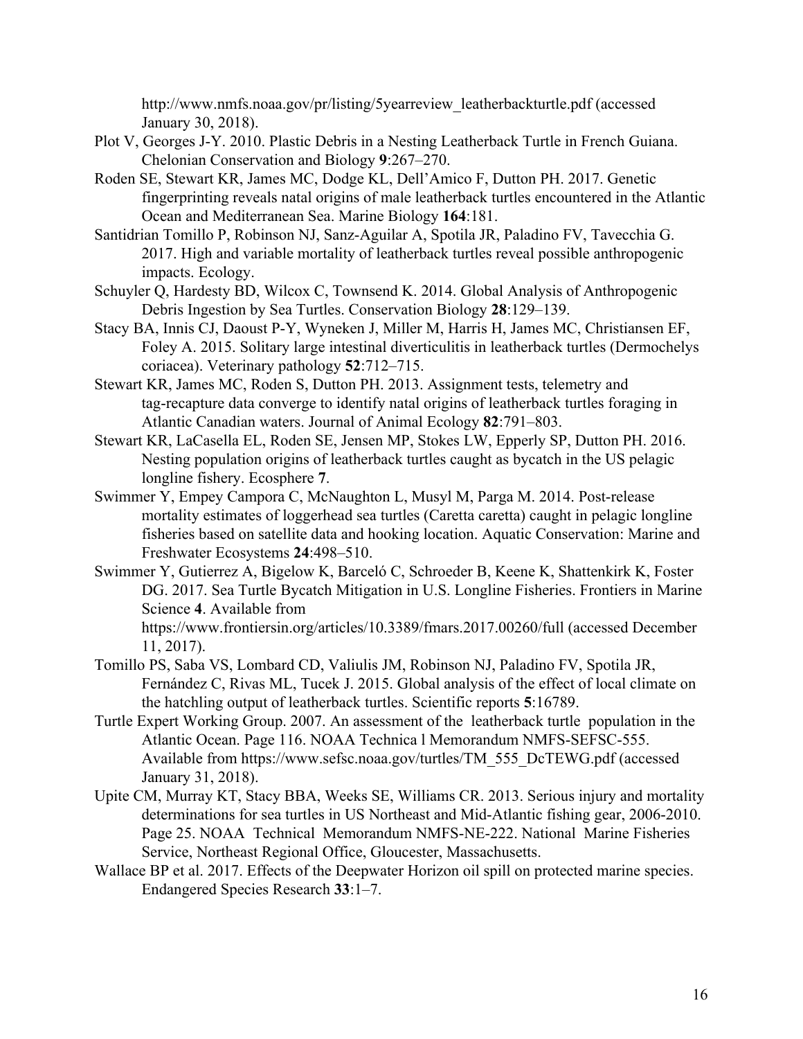http://www.nmfs.noaa.gov/pr/listing/5yearreview\_leatherbackturtle.pdf (accessed January 30, 2018).

- Plot V, Georges J-Y. 2010. Plastic Debris in a Nesting Leatherback Turtle in French Guiana. Chelonian Conservation and Biology **9**:267–270.
- Roden SE, Stewart KR, James MC, Dodge KL, Dell'Amico F, Dutton PH. 2017. Genetic fingerprinting reveals natal origins of male leatherback turtles encountered in the Atlantic Ocean and Mediterranean Sea. Marine Biology **164**:181.
- Santidrian Tomillo P, Robinson NJ, Sanz-Aguilar A, Spotila JR, Paladino FV, Tavecchia G. 2017. High and variable mortality of leatherback turtles reveal possible anthropogenic impacts. Ecology.
- Schuyler Q, Hardesty BD, Wilcox C, Townsend K. 2014. Global Analysis of Anthropogenic Debris Ingestion by Sea Turtles. Conservation Biology **28**:129–139.
- Stacy BA, Innis CJ, Daoust P-Y, Wyneken J, Miller M, Harris H, James MC, Christiansen EF, Foley A. 2015. Solitary large intestinal diverticulitis in leatherback turtles (Dermochelys coriacea). Veterinary pathology **52**:712–715.
- Stewart KR, James MC, Roden S, Dutton PH. 2013. Assignment tests, telemetry and tag-recapture data converge to identify natal origins of leatherback turtles foraging in Atlantic Canadian waters. Journal of Animal Ecology **82**:791–803.
- Stewart KR, LaCasella EL, Roden SE, Jensen MP, Stokes LW, Epperly SP, Dutton PH. 2016. Nesting population origins of leatherback turtles caught as bycatch in the US pelagic longline fishery. Ecosphere **7**.
- Swimmer Y, Empey Campora C, McNaughton L, Musyl M, Parga M. 2014. Post-release mortality estimates of loggerhead sea turtles (Caretta caretta) caught in pelagic longline fisheries based on satellite data and hooking location. Aquatic Conservation: Marine and Freshwater Ecosystems **24**:498–510.
- Swimmer Y, Gutierrez A, Bigelow K, Barceló C, Schroeder B, Keene K, Shattenkirk K, Foster DG. 2017. Sea Turtle Bycatch Mitigation in U.S. Longline Fisheries. Frontiers in Marine Science **4**. Available from https://www.frontiersin.org/articles/10.3389/fmars.2017.00260/full (accessed December 11, 2017).
- Tomillo PS, Saba VS, Lombard CD, Valiulis JM, Robinson NJ, Paladino FV, Spotila JR, Fernández C, Rivas ML, Tucek J. 2015. Global analysis of the effect of local climate on the hatchling output of leatherback turtles. Scientific reports **5**:16789.
- Turtle Expert Working Group. 2007. An assessment of the leatherback turtle population in the Atlantic Ocean. Page 116. NOAA Technica l Memorandum NMFS-SEFSC-555. Available from https://www.sefsc.noaa.gov/turtles/TM\_555\_DcTEWG.pdf (accessed January 31, 2018).
- Upite CM, Murray KT, Stacy BBA, Weeks SE, Williams CR. 2013. Serious injury and mortality determinations for sea turtles in US Northeast and Mid-Atlantic fishing gear, 2006-2010. Page 25. NOAA Technical Memorandum NMFS-NE-222. National Marine Fisheries Service, Northeast Regional Office, Gloucester, Massachusetts.
- Wallace BP et al. 2017. Effects of the Deepwater Horizon oil spill on protected marine species. Endangered Species Research **33**:1–7.